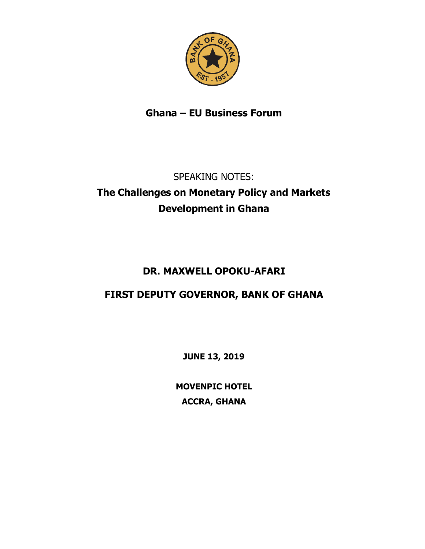

# **Ghana – EU Business Forum**

# SPEAKING NOTES: **The Challenges on Monetary Policy and Markets Development in Ghana**

# **DR. MAXWELL OPOKU-AFARI**

# **FIRST DEPUTY GOVERNOR, BANK OF GHANA**

**JUNE 13, 2019**

**MOVENPIC HOTEL ACCRA, GHANA**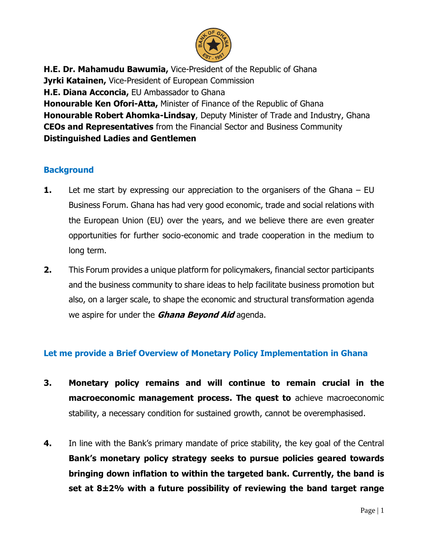

**H.E. Dr. Mahamudu Bawumia,** Vice-President of the Republic of Ghana **Jyrki Katainen,** Vice-President of European Commission **H.E. Diana Acconcia,** EU Ambassador to Ghana **Honourable Ken Ofori-Atta,** Minister of Finance of the Republic of Ghana **Honourable Robert Ahomka-Lindsay**, Deputy Minister of Trade and Industry, Ghana **CEOs and Representatives** from the Financial Sector and Business Community **Distinguished Ladies and Gentlemen** 

#### **Background**

- **1.** Let me start by expressing our appreciation to the organisers of the Ghana EU Business Forum. Ghana has had very good economic, trade and social relations with the European Union (EU) over the years, and we believe there are even greater opportunities for further socio-economic and trade cooperation in the medium to long term.
- **2.** This Forum provides a unique platform for policymakers, financial sector participants and the business community to share ideas to help facilitate business promotion but also, on a larger scale, to shape the economic and structural transformation agenda we aspire for under the **Ghana Beyond Aid** agenda.

### **Let me provide a Brief Overview of Monetary Policy Implementation in Ghana**

- **3. Monetary policy remains and will continue to remain crucial in the macroeconomic management process. The quest to** achieve macroeconomic stability, a necessary condition for sustained growth, cannot be overemphasised.
- **4.** In line with the Bank's primary mandate of price stability, the key goal of the Central **Bank's monetary policy strategy seeks to pursue policies geared towards bringing down inflation to within the targeted bank. Currently, the band is set at 8±2% with a future possibility of reviewing the band target range**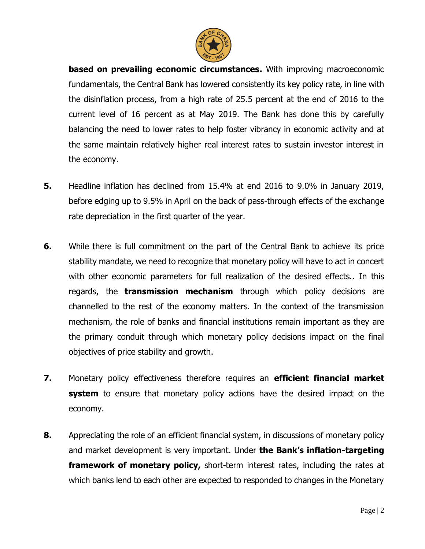

**based on prevailing economic circumstances.** With improving macroeconomic fundamentals, the Central Bank has lowered consistently its key policy rate, in line with the disinflation process, from a high rate of 25.5 percent at the end of 2016 to the current level of 16 percent as at May 2019. The Bank has done this by carefully balancing the need to lower rates to help foster vibrancy in economic activity and at the same maintain relatively higher real interest rates to sustain investor interest in the economy.

- **5.** Headline inflation has declined from 15.4% at end 2016 to 9.0% in January 2019, before edging up to 9.5% in April on the back of pass-through effects of the exchange rate depreciation in the first quarter of the year.
- **6.** While there is full commitment on the part of the Central Bank to achieve its price stability mandate, we need to recognize that monetary policy will have to act in concert with other economic parameters for full realization of the desired effects.. In this regards, the **transmission mechanism** through which policy decisions are channelled to the rest of the economy matters. In the context of the transmission mechanism, the role of banks and financial institutions remain important as they are the primary conduit through which monetary policy decisions impact on the final objectives of price stability and growth.
- **7.** Monetary policy effectiveness therefore requires an **efficient financial market system** to ensure that monetary policy actions have the desired impact on the economy.
- **8.** Appreciating the role of an efficient financial system, in discussions of monetary policy and market development is very important. Under **the Bank's inflation-targeting framework of monetary policy,** short-term interest rates, including the rates at which banks lend to each other are expected to responded to changes in the Monetary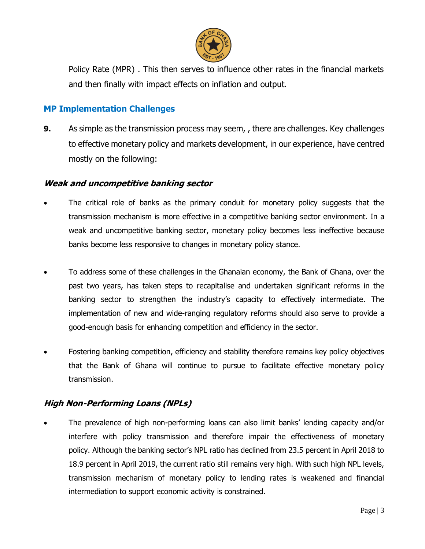

Policy Rate (MPR) . This then serves to influence other rates in the financial markets and then finally with impact effects on inflation and output.

#### **MP Implementation Challenges**

**9.** As simple as the transmission process may seem, , there are challenges. Key challenges to effective monetary policy and markets development, in our experience, have centred mostly on the following:

#### **Weak and uncompetitive banking sector**

- The critical role of banks as the primary conduit for monetary policy suggests that the transmission mechanism is more effective in a competitive banking sector environment. In a weak and uncompetitive banking sector, monetary policy becomes less ineffective because banks become less responsive to changes in monetary policy stance.
- To address some of these challenges in the Ghanaian economy, the Bank of Ghana, over the past two years, has taken steps to recapitalise and undertaken significant reforms in the banking sector to strengthen the industry's capacity to effectively intermediate. The implementation of new and wide-ranging regulatory reforms should also serve to provide a good-enough basis for enhancing competition and efficiency in the sector.
- Fostering banking competition, efficiency and stability therefore remains key policy objectives that the Bank of Ghana will continue to pursue to facilitate effective monetary policy transmission.

### **High Non-Performing Loans (NPLs)**

• The prevalence of high non-performing loans can also limit banks' lending capacity and/or interfere with policy transmission and therefore impair the effectiveness of monetary policy. Although the banking sector's NPL ratio has declined from 23.5 percent in April 2018 to 18.9 percent in April 2019, the current ratio still remains very high. With such high NPL levels, transmission mechanism of monetary policy to lending rates is weakened and financial intermediation to support economic activity is constrained.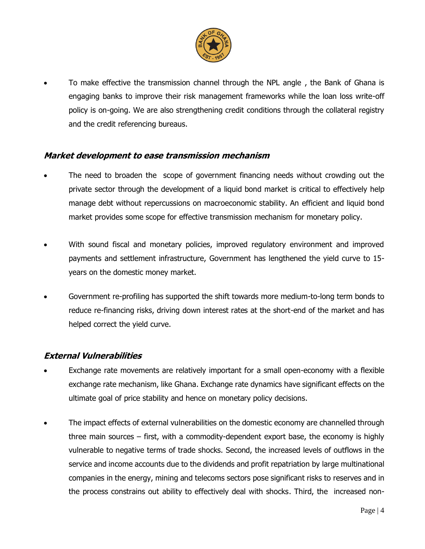

• To make effective the transmission channel through the NPL angle , the Bank of Ghana is engaging banks to improve their risk management frameworks while the loan loss write-off policy is on-going. We are also strengthening credit conditions through the collateral registry and the credit referencing bureaus.

#### **Market development to ease transmission mechanism**

- The need to broaden the scope of government financing needs without crowding out the private sector through the development of a liquid bond market is critical to effectively help manage debt without repercussions on macroeconomic stability. An efficient and liquid bond market provides some scope for effective transmission mechanism for monetary policy.
- With sound fiscal and monetary policies, improved regulatory environment and improved payments and settlement infrastructure, Government has lengthened the yield curve to 15 years on the domestic money market.
- Government re-profiling has supported the shift towards more medium-to-long term bonds to reduce re-financing risks, driving down interest rates at the short-end of the market and has helped correct the yield curve.

#### **External Vulnerabilities**

- Exchange rate movements are relatively important for a small open-economy with a flexible exchange rate mechanism, like Ghana. Exchange rate dynamics have significant effects on the ultimate goal of price stability and hence on monetary policy decisions.
- The impact effects of external vulnerabilities on the domestic economy are channelled through three main sources – first, with a commodity-dependent export base, the economy is highly vulnerable to negative terms of trade shocks. Second, the increased levels of outflows in the service and income accounts due to the dividends and profit repatriation by large multinational companies in the energy, mining and telecoms sectors pose significant risks to reserves and in the process constrains out ability to effectively deal with shocks. Third, the increased non-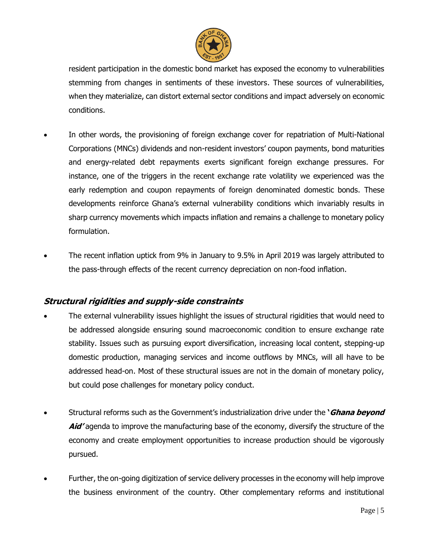

resident participation in the domestic bond market has exposed the economy to vulnerabilities stemming from changes in sentiments of these investors. These sources of vulnerabilities, when they materialize, can distort external sector conditions and impact adversely on economic conditions.

- In other words, the provisioning of foreign exchange cover for repatriation of Multi-National Corporations (MNCs) dividends and non-resident investors' coupon payments, bond maturities and energy-related debt repayments exerts significant foreign exchange pressures. For instance, one of the triggers in the recent exchange rate volatility we experienced was the early redemption and coupon repayments of foreign denominated domestic bonds. These developments reinforce Ghana's external vulnerability conditions which invariably results in sharp currency movements which impacts inflation and remains a challenge to monetary policy formulation.
- The recent inflation uptick from 9% in January to 9.5% in April 2019 was largely attributed to the pass-through effects of the recent currency depreciation on non-food inflation.

#### **Structural rigidities and supply-side constraints**

- The external vulnerability issues highlight the issues of structural rigidities that would need to be addressed alongside ensuring sound macroeconomic condition to ensure exchange rate stability. Issues such as pursuing export diversification, increasing local content, stepping-up domestic production, managing services and income outflows by MNCs, will all have to be addressed head-on. Most of these structural issues are not in the domain of monetary policy, but could pose challenges for monetary policy conduct.
- Structural reforms such as the Government's industrialization drive under the **'Ghana beyond Aid'** agenda to improve the manufacturing base of the economy, diversify the structure of the economy and create employment opportunities to increase production should be vigorously pursued.
- Further, the on-going digitization of service delivery processes in the economy will help improve the business environment of the country. Other complementary reforms and institutional